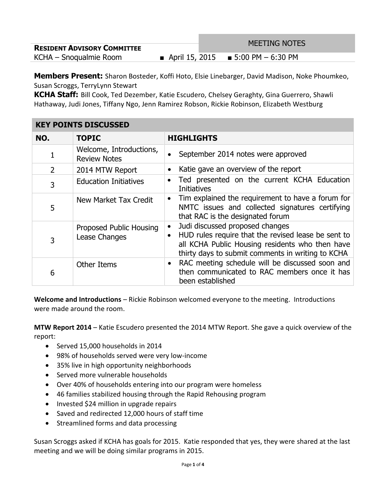| <b>RESIDENT ADVISORY COMMITTEE</b> | <b>MEETING NOTES</b>                  |
|------------------------------------|---------------------------------------|
| KCHA – Snoqualmie Room             | ■ April 15, 2015 ■ 5:00 PM $-6:30$ PM |

**Members Present:** Sharon Bosteder, Koffi Hoto, Elsie Linebarger, David Madison, Noke Phoumkeo, Susan Scroggs, TerryLynn Stewart

**KCHA Staff:** Bill Cook, Ted Dezember, Katie Escudero, Chelsey Geraghty, Gina Guerrero, Shawli Hathaway, Judi Jones, Tiffany Ngo, Jenn Ramirez Robson, Rickie Robinson, Elizabeth Westburg

| <b>KEY POINTS DISCUSSED</b> |                                                |                                                                                                                                                                                                |  |
|-----------------------------|------------------------------------------------|------------------------------------------------------------------------------------------------------------------------------------------------------------------------------------------------|--|
| NO.                         | <b>TOPIC</b>                                   | <b>HIGHLIGHTS</b>                                                                                                                                                                              |  |
| 1                           | Welcome, Introductions,<br><b>Review Notes</b> | September 2014 notes were approved                                                                                                                                                             |  |
| $\overline{2}$              | 2014 MTW Report                                | Katie gave an overview of the report                                                                                                                                                           |  |
| 3                           | <b>Education Initiatives</b>                   | Ted presented on the current KCHA Education<br><b>Initiatives</b>                                                                                                                              |  |
| 5                           | New Market Tax Credit                          | Tim explained the requirement to have a forum for<br>NMTC issues and collected signatures certifying<br>that RAC is the designated forum                                                       |  |
| 3                           | Proposed Public Housing<br>Lease Changes       | Judi discussed proposed changes<br>HUD rules require that the revised lease be sent to<br>all KCHA Public Housing residents who then have<br>thirty days to submit comments in writing to KCHA |  |
| 6                           | <b>Other Items</b>                             | RAC meeting schedule will be discussed soon and<br>then communicated to RAC members once it has<br>been established                                                                            |  |

**Welcome and Introductions** – Rickie Robinson welcomed everyone to the meeting. Introductions were made around the room.

**MTW Report 2014** – Katie Escudero presented the 2014 MTW Report. She gave a quick overview of the report:

- Served 15,000 households in 2014
- 98% of households served were very low-income
- 35% live in high opportunity neighborhoods
- Served more vulnerable households
- Over 40% of households entering into our program were homeless
- 46 families stabilized housing through the Rapid Rehousing program
- Invested \$24 million in upgrade repairs
- Saved and redirected 12,000 hours of staff time
- Streamlined forms and data processing

Susan Scroggs asked if KCHA has goals for 2015. Katie responded that yes, they were shared at the last meeting and we will be doing similar programs in 2015.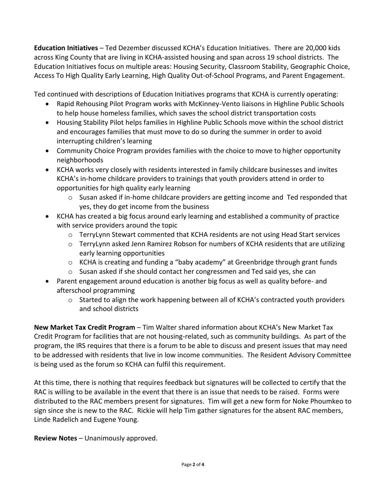**Education Initiatives** – Ted Dezember discussed KCHA's Education Initiatives. There are 20,000 kids across King County that are living in KCHA-assisted housing and span across 19 school districts. The Education Initiatives focus on multiple areas: Housing Security, Classroom Stability, Geographic Choice, Access To High Quality Early Learning, High Quality Out-of-School Programs, and Parent Engagement.

Ted continued with descriptions of Education Initiatives programs that KCHA is currently operating:

- Rapid Rehousing Pilot Program works with McKinney-Vento liaisons in Highline Public Schools to help house homeless families, which saves the school district transportation costs
- Housing Stability Pilot helps families in Highline Public Schools move within the school district and encourages families that must move to do so during the summer in order to avoid interrupting children's learning
- Community Choice Program provides families with the choice to move to higher opportunity neighborhoods
- KCHA works very closely with residents interested in family childcare businesses and invites KCHA's in-home childcare providers to trainings that youth providers attend in order to opportunities for high quality early learning
	- o Susan asked if in-home childcare providers are getting income and Ted responded that yes, they do get income from the business
- KCHA has created a big focus around early learning and established a community of practice with service providers around the topic
	- o TerryLynn Stewart commented that KCHA residents are not using Head Start services
	- o TerryLynn asked Jenn Ramirez Robson for numbers of KCHA residents that are utilizing early learning opportunities
	- o KCHA is creating and funding a "baby academy" at Greenbridge through grant funds
	- $\circ$  Susan asked if she should contact her congressmen and Ted said yes, she can
- Parent engagement around education is another big focus as well as quality before- and afterschool programming
	- $\circ$  Started to align the work happening between all of KCHA's contracted youth providers and school districts

**New Market Tax Credit Program** – Tim Walter shared information about KCHA's New Market Tax Credit Program for facilities that are not housing-related, such as community buildings. As part of the program, the IRS requires that there is a forum to be able to discuss and present issues that may need to be addressed with residents that live in low income communities. The Resident Advisory Committee is being used as the forum so KCHA can fulfil this requirement.

At this time, there is nothing that requires feedback but signatures will be collected to certify that the RAC is willing to be available in the event that there is an issue that needs to be raised. Forms were distributed to the RAC members present for signatures. Tim will get a new form for Noke Phoumkeo to sign since she is new to the RAC. Rickie will help Tim gather signatures for the absent RAC members, Linde Radelich and Eugene Young.

**Review Notes** – Unanimously approved.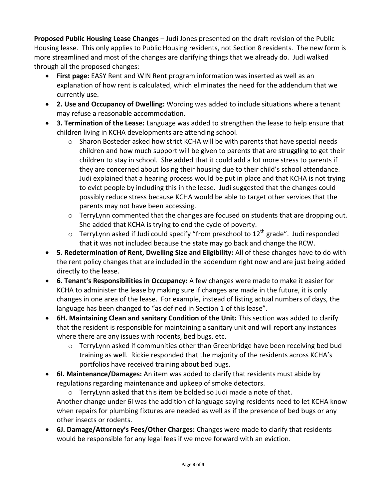**Proposed Public Housing Lease Changes** – Judi Jones presented on the draft revision of the Public Housing lease. This only applies to Public Housing residents, not Section 8 residents. The new form is more streamlined and most of the changes are clarifying things that we already do. Judi walked through all the proposed changes:

- **First page:** EASY Rent and WIN Rent program information was inserted as well as an explanation of how rent is calculated, which eliminates the need for the addendum that we currently use.
- **2. Use and Occupancy of Dwelling:** Wording was added to include situations where a tenant may refuse a reasonable accommodation.
- **3. Termination of the Lease:** Language was added to strengthen the lease to help ensure that children living in KCHA developments are attending school.
	- $\circ$  Sharon Bosteder asked how strict KCHA will be with parents that have special needs children and how much support will be given to parents that are struggling to get their children to stay in school. She added that it could add a lot more stress to parents if they are concerned about losing their housing due to their child's school attendance. Judi explained that a hearing process would be put in place and that KCHA is not trying to evict people by including this in the lease. Judi suggested that the changes could possibly reduce stress because KCHA would be able to target other services that the parents may not have been accessing.
	- $\circ$  TerryLynn commented that the changes are focused on students that are dropping out. She added that KCHA is trying to end the cycle of poverty.
	- $\circ$  TerryLynn asked if Judi could specify "from preschool to 12<sup>th</sup> grade". Judi responded that it was not included because the state may go back and change the RCW.
- **5. Redetermination of Rent, Dwelling Size and Eligibility:** All of these changes have to do with the rent policy changes that are included in the addendum right now and are just being added directly to the lease.
- **6. Tenant's Responsibilities in Occupancy:** A few changes were made to make it easier for KCHA to administer the lease by making sure if changes are made in the future, it is only changes in one area of the lease. For example, instead of listing actual numbers of days, the language has been changed to "as defined in Section 1 of this lease".
- **6H. Maintaining Clean and sanitary Condition of the Unit:** This section was added to clarify that the resident is responsible for maintaining a sanitary unit and will report any instances where there are any issues with rodents, bed bugs, etc.
	- $\circ$  TerryLynn asked if communities other than Greenbridge have been receiving bed bud training as well. Rickie responded that the majority of the residents across KCHA's portfolios have received training about bed bugs.
- **6I. Maintenance/Damages:** An item was added to clarify that residents must abide by regulations regarding maintenance and upkeep of smoke detectors.

o TerryLynn asked that this item be bolded so Judi made a note of that. Another change under 6I was the addition of language saying residents need to let KCHA know when repairs for plumbing fixtures are needed as well as if the presence of bed bugs or any other insects or rodents.

 **6J. Damage/Attorney's Fees/Other Charges:** Changes were made to clarify that residents would be responsible for any legal fees if we move forward with an eviction.